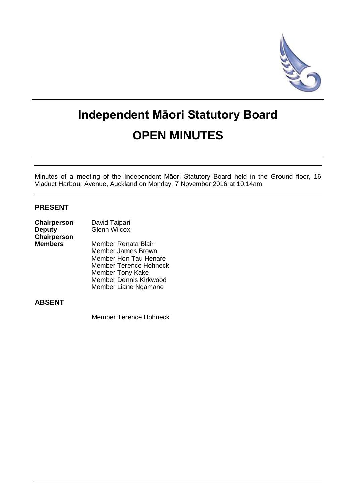

# **Independent Māori Statutory Board OPEN MINUTES**

Minutes of a meeting of the Independent Māori Statutory Board held in the Ground floor, 16 Viaduct Harbour Avenue, Auckland on Monday, 7 November 2016 at 10.14am.

## **PRESENT**

| Chairperson    | David Taipari                 |  |
|----------------|-------------------------------|--|
| <b>Deputy</b>  | <b>Glenn Wilcox</b>           |  |
| Chairperson    |                               |  |
| <b>Members</b> | Member Renata Blair           |  |
|                | <b>Member James Brown</b>     |  |
|                | Member Hon Tau Henare         |  |
|                | <b>Member Terence Hohneck</b> |  |
|                | <b>Member Tony Kake</b>       |  |
|                | Member Dennis Kirkwood        |  |
|                | Member Liane Ngamane          |  |
|                |                               |  |

## **ABSENT**

Member Terence Hohneck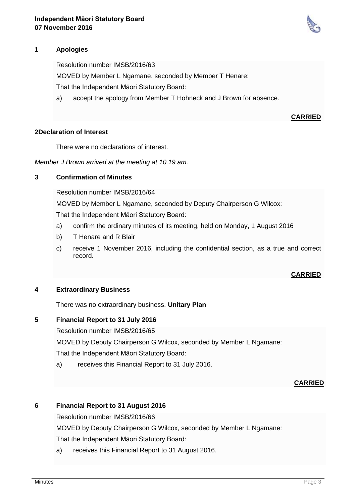

Resolution number IMSB/2016/63

MOVED by Member L Ngamane, seconded by Member T Henare:

That the Independent Māori Statutory Board:

a) accept the apology from Member T Hohneck and J Brown for absence.

## **CARRIED**

#### **2Declaration of Interest**

There were no declarations of interest.

*Member J Brown arrived at the meeting at 10.19 am.*

## **3 Confirmation of Minutes**

Resolution number IMSB/2016/64

MOVED by Member L Ngamane, seconded by Deputy Chairperson G Wilcox:

That the Independent Māori Statutory Board:

- a) confirm the ordinary minutes of its meeting, held on Monday, 1 August 2016
- b) T Henare and R Blair
- c) receive 1 November 2016, including the confidential section, as a true and correct record.

## **CARRIED**

## **4 Extraordinary Business**

There was no extraordinary business. **Unitary Plan**

## **5 Financial Report to 31 July 2016**

Resolution number IMSB/2016/65

MOVED by Deputy Chairperson G Wilcox, seconded by Member L Ngamane:

That the Independent Māori Statutory Board:

a) receives this Financial Report to 31 July 2016.

#### **CARRIED**

## **6 Financial Report to 31 August 2016**

Resolution number IMSB/2016/66

MOVED by Deputy Chairperson G Wilcox, seconded by Member L Ngamane:

That the Independent Māori Statutory Board:

a) receives this Financial Report to 31 August 2016.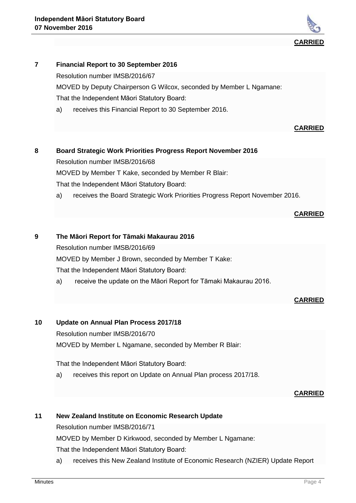

## **7 Financial Report to 30 September 2016**

Resolution number IMSB/2016/67

MOVED by Deputy Chairperson G Wilcox, seconded by Member L Ngamane: That the Independent Māori Statutory Board:

a) receives this Financial Report to 30 September 2016.

#### **CARRIED**

## **8 Board Strategic Work Priorities Progress Report November 2016**

Resolution number IMSB/2016/68

MOVED by Member T Kake, seconded by Member R Blair:

That the Independent Māori Statutory Board:

a) receives the Board Strategic Work Priorities Progress Report November 2016.

#### **CARRIED**

## **9 The Māori Report for Tāmaki Makaurau 2016**

Resolution number IMSB/2016/69

MOVED by Member J Brown, seconded by Member T Kake:

That the Independent Māori Statutory Board:

a) receive the update on the Māori Report for Tāmaki Makaurau 2016.

**CARRIED**

## **10 Update on Annual Plan Process 2017/18**

Resolution number IMSB/2016/70

MOVED by Member L Ngamane, seconded by Member R Blair:

That the Independent Māori Statutory Board:

a) receives this report on Update on Annual Plan process 2017/18.

## **CARRIED**

## **11 New Zealand Institute on Economic Research Update**

Resolution number IMSB/2016/71

MOVED by Member D Kirkwood, seconded by Member L Ngamane:

That the Independent Māori Statutory Board:

a) receives this New Zealand Institute of Economic Research (NZIER) Update Report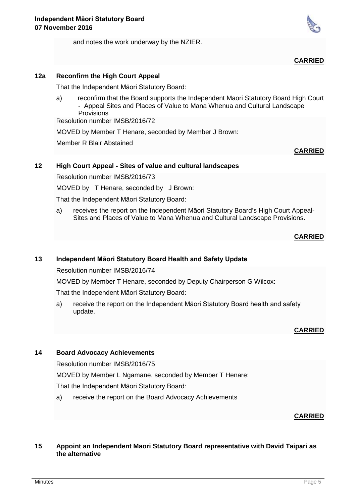



## **CARRIED**

## **12a Reconfirm the High Court Appeal**

That the Independent Māori Statutory Board:

a) reconfirm that the Board supports the Independent Maori Statutory Board High Court - Appeal Sites and Places of Value to Mana Whenua and Cultural Landscape Provisions

Resolution number IMSB/2016/72

MOVED by Member T Henare, seconded by Member J Brown:

Member R Blair Abstained

## **CARRIED**

## **12 High Court Appeal - Sites of value and cultural landscapes**

Resolution number IMSB/2016/73

MOVED by T Henare, seconded by J Brown:

That the Independent Māori Statutory Board:

a) receives the report on the Independent Māori Statutory Board's High Court Appeal-Sites and Places of Value to Mana Whenua and Cultural Landscape Provisions.

## **CARRIED**

## **13 Independent Māori Statutory Board Health and Safety Update**

Resolution number IMSB/2016/74

MOVED by Member T Henare, seconded by Deputy Chairperson G Wilcox:

That the Independent Māori Statutory Board:

a) receive the report on the Independent Māori Statutory Board health and safety update.

## **CARRIED**

## **14 Board Advocacy Achievements**

Resolution number IMSB/2016/75

MOVED by Member L Ngamane, seconded by Member T Henare:

That the Independent Māori Statutory Board:

a) receive the report on the Board Advocacy Achievements

## **CARRIED**

#### **15 Appoint an Independent Maori Statutory Board representative with David Taipari as the alternative**